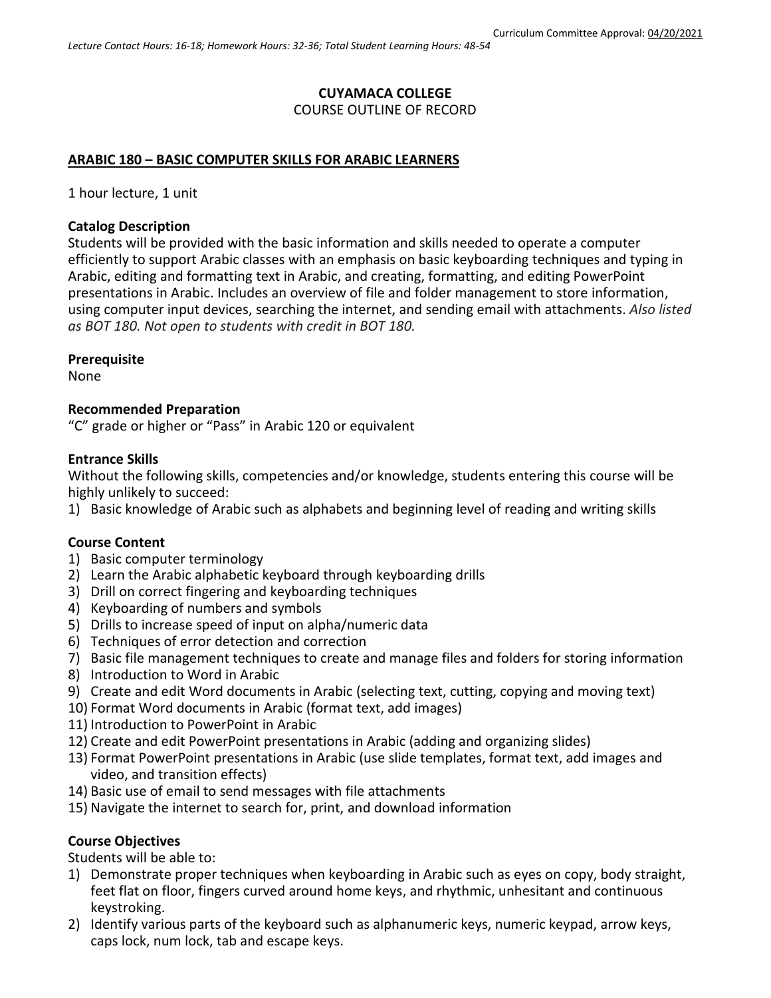### **CUYAMACA COLLEGE** COURSE OUTLINE OF RECORD

### **ARABIC 180 – BASIC COMPUTER SKILLS FOR ARABIC LEARNERS**

1 hour lecture, 1 unit

#### **Catalog Description**

Students will be provided with the basic information and skills needed to operate a computer efficiently to support Arabic classes with an emphasis on basic keyboarding techniques and typing in Arabic, editing and formatting text in Arabic, and creating, formatting, and editing PowerPoint presentations in Arabic. Includes an overview of file and folder management to store information, using computer input devices, searching the internet, and sending email with attachments. *Also listed as BOT 180. Not open to students with credit in BOT 180.*

### **Prerequisite**

None

#### **Recommended Preparation**

"C" grade or higher or "Pass" in Arabic 120 or equivalent

#### **Entrance Skills**

Without the following skills, competencies and/or knowledge, students entering this course will be highly unlikely to succeed:

1) Basic knowledge of Arabic such as alphabets and beginning level of reading and writing skills

#### **Course Content**

- 1) Basic computer terminology
- 2) Learn the Arabic alphabetic keyboard through keyboarding drills
- 3) Drill on correct fingering and keyboarding techniques
- 4) Keyboarding of numbers and symbols
- 5) Drills to increase speed of input on alpha/numeric data
- 6) Techniques of error detection and correction
- 7) Basic file management techniques to create and manage files and folders for storing information
- 8) Introduction to Word in Arabic
- 9) Create and edit Word documents in Arabic (selecting text, cutting, copying and moving text)
- 10) Format Word documents in Arabic (format text, add images)
- 11) Introduction to PowerPoint in Arabic
- 12) Create and edit PowerPoint presentations in Arabic (adding and organizing slides)
- 13) Format PowerPoint presentations in Arabic (use slide templates, format text, add images and video, and transition effects)
- 14) Basic use of email to send messages with file attachments
- 15) Navigate the internet to search for, print, and download information

### **Course Objectives**

Students will be able to:

- 1) Demonstrate proper techniques when keyboarding in Arabic such as eyes on copy, body straight, feet flat on floor, fingers curved around home keys, and rhythmic, unhesitant and continuous keystroking.
- 2) Identify various parts of the keyboard such as alphanumeric keys, numeric keypad, arrow keys, caps lock, num lock, tab and escape keys.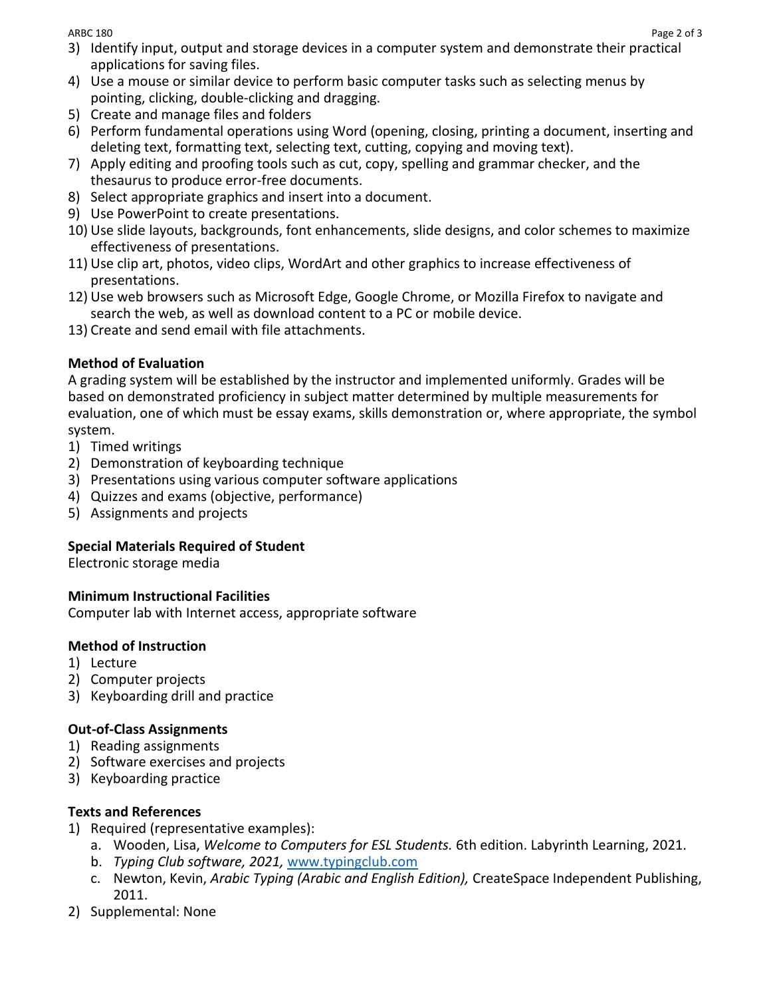- 3) Identify input, output and storage devices in a computer system and demonstrate their practical applications for saving files.
- 4) Use a mouse or similar device to perform basic computer tasks such as selecting menus by pointing, clicking, double-clicking and dragging.
- 5) Create and manage files and folders
- 6) Perform fundamental operations using Word (opening, closing, printing a document, inserting and deleting text, formatting text, selecting text, cutting, copying and moving text).
- 7) Apply editing and proofing tools such as cut, copy, spelling and grammar checker, and the thesaurus to produce error-free documents.
- 8) Select appropriate graphics and insert into a document.
- 9) Use PowerPoint to create presentations.
- 10) Use slide layouts, backgrounds, font enhancements, slide designs, and color schemes to maximize effectiveness of presentations.
- 11) Use clip art, photos, video clips, WordArt and other graphics to increase effectiveness of presentations.
- 12) Use web browsers such as Microsoft Edge, Google Chrome, or Mozilla Firefox to navigate and search the web, as well as download content to a PC or mobile device.
- 13) Create and send email with file attachments.

# **Method of Evaluation**

A grading system will be established by the instructor and implemented uniformly. Grades will be based on demonstrated proficiency in subject matter determined by multiple measurements for evaluation, one of which must be essay exams, skills demonstration or, where appropriate, the symbol system.

- 1) Timed writings
- 2) Demonstration of keyboarding technique
- 3) Presentations using various computer software applications
- 4) Quizzes and exams (objective, performance)
- 5) Assignments and projects

# **Special Materials Required of Student**

Electronic storage media

# **Minimum Instructional Facilities**

Computer lab with Internet access, appropriate software

### **Method of Instruction**

- 1) Lecture
- 2) Computer projects
- 3) Keyboarding drill and practice

# **Out-of-Class Assignments**

- 1) Reading assignments
- 2) Software exercises and projects
- 3) Keyboarding practice

# **Texts and References**

- 1) Required (representative examples):
	- a. Wooden, Lisa, *Welcome to Computers for ESL Students.* 6th edition. Labyrinth Learning, 2021.
	- b. *Typing Club software, 2021,* [www.typingclub.com](http://www.typingclub.com/)
	- c. Newton, Kevin, *Arabic Typing (Arabic and English Edition),* CreateSpace Independent Publishing, 2011.
- 2) Supplemental: None